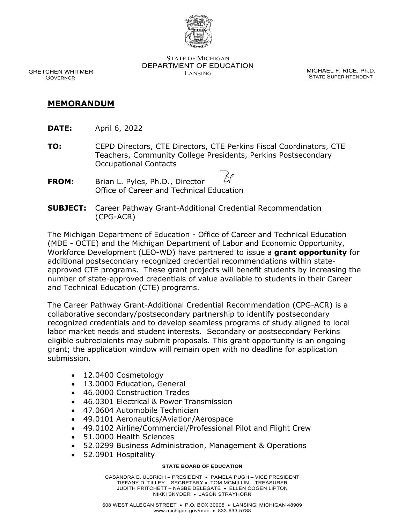

STATE OF MICHIGAN DEPARTMENT OF EDUCATION MICHAEL F. RICE, Ph.D.<br>LANSING

STATE SUPERINTENDENT

 GRETCHEN WHITMER GOVERNOR

## **MEMORANDUM**

- **DATE:** April 6, 2022
- **TO:** CEPD Directors, CTE Directors, CTE Perkins Fiscal Coordinators, CTE Teachers, Community College Presidents, Perkins Postsecondary Occupational Contacts
- **FROM:** Brian L. Pyles, Ph.D., Director Office of Career and Technical Education
- **SUBJECT:** Career Pathway Grant-Additional Credential Recommendation (CPG-ACR)

The Michigan Department of Education - Office of Career and Technical Education (MDE - OCTE) and the Michigan Department of Labor and Economic Opportunity, Workforce Development (LEO-WD) have partnered to issue a **grant opportunity** for additional postsecondary recognized credential recommendations within stateapproved CTE programs. These grant projects will benefit students by increasing the number of state-approved credentials of value available to students in their Career and Technical Education (CTE) programs.

The Career Pathway Grant-Additional Credential Recommendation (CPG-ACR) is a collaborative secondary/postsecondary partnership to identify postsecondary recognized credentials and to develop seamless programs of study aligned to local labor market needs and student interests. Secondary or postsecondary Perkins eligible subrecipients may submit proposals. This grant opportunity is an ongoing grant; the application window will remain open with no deadline for application submission.

- 12.0400 Cosmetology
- 13.0000 Education, General
- 46.0000 Construction Trades
- 46.0301 Electrical & Power Transmission
- 47.0604 Automobile Technician
- 49.0101 Aeronautics/Aviation/Aerospace
- 49.0102 Airline/Commercial/Professional Pilot and Flight Crew
- 51.0000 Health Sciences
- 52.0299 Business Administration, Management & Operations
- 52.0901 Hospitality

## **STATE BOARD OF EDUCATION**

CASANDRA E. ULBRICH – PRESIDENT • PAMELA PUGH – VICE PRESIDENT TIFFANY D. TILLEY – SECRETARY • TOM MCMILLIN – TREASURER JUDITH PRITCHETT – NASBE DELEGATE • ELLEN COGEN LIPTON NIKKI SNYDER • JASON STRAYHORN